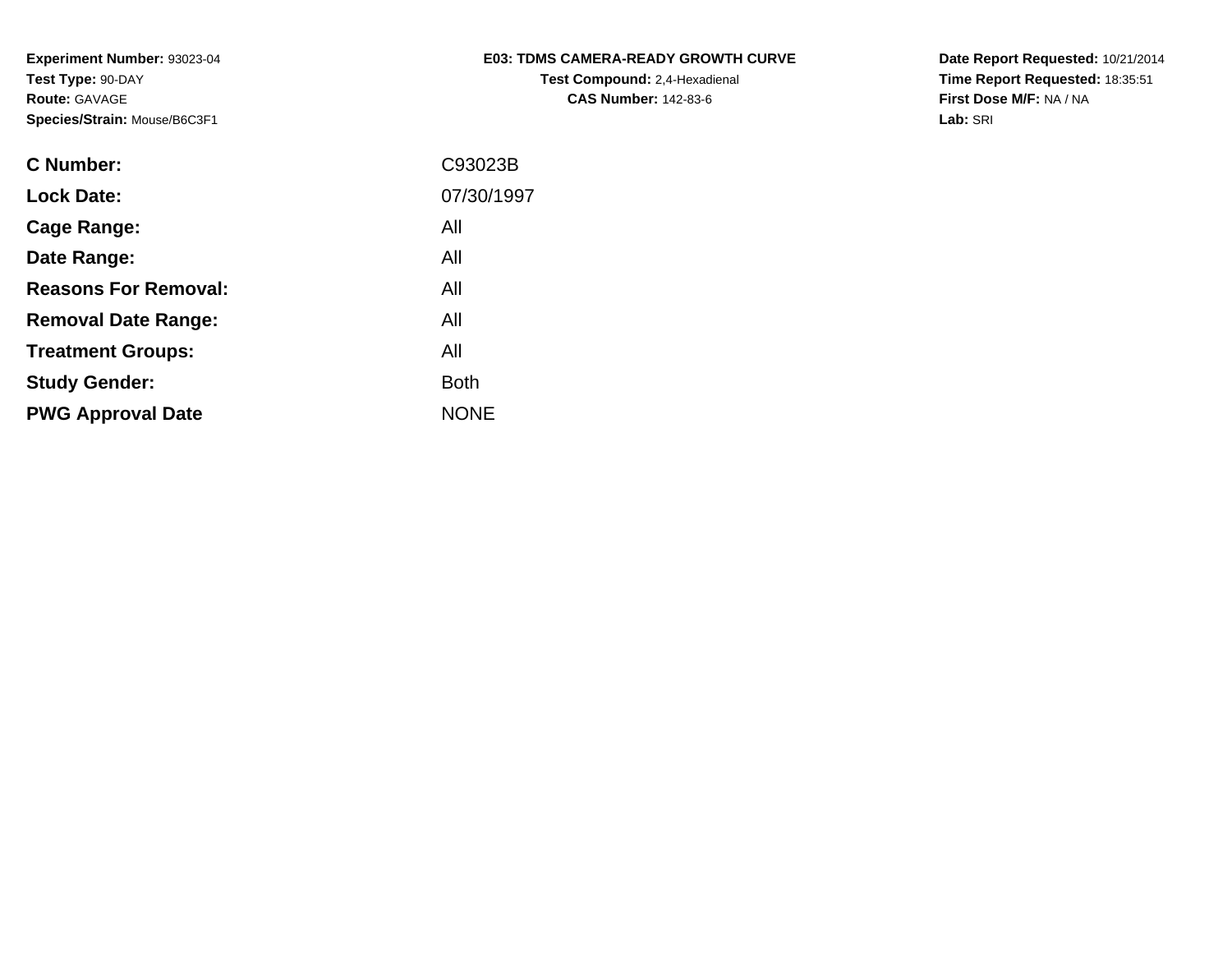**Experiment Number:** 93023-04**Test Type:** 90-DAY**Route:** GAVAGE**Species/Strain:** Mouse/B6C3F1

| <b>E03: TDMS CAMERA-READY GROWTH CURVE</b> |
|--------------------------------------------|
| <b>Test Compound: 2,4-Hexadienal</b>       |
| <b>CAS Number: 142-83-6</b>                |

**Date Report Requested:** 10/21/2014 **Time Report Requested:** 18:35:51**First Dose M/F:** NA / NA**Lab:** SRI

| C Number:                   | C93023B     |
|-----------------------------|-------------|
| <b>Lock Date:</b>           | 07/30/1997  |
| Cage Range:                 | All         |
| Date Range:                 | All         |
| <b>Reasons For Removal:</b> | All         |
| <b>Removal Date Range:</b>  | All         |
| <b>Treatment Groups:</b>    | All         |
| <b>Study Gender:</b>        | <b>Both</b> |
| <b>PWG Approval Date</b>    | <b>NONE</b> |
|                             |             |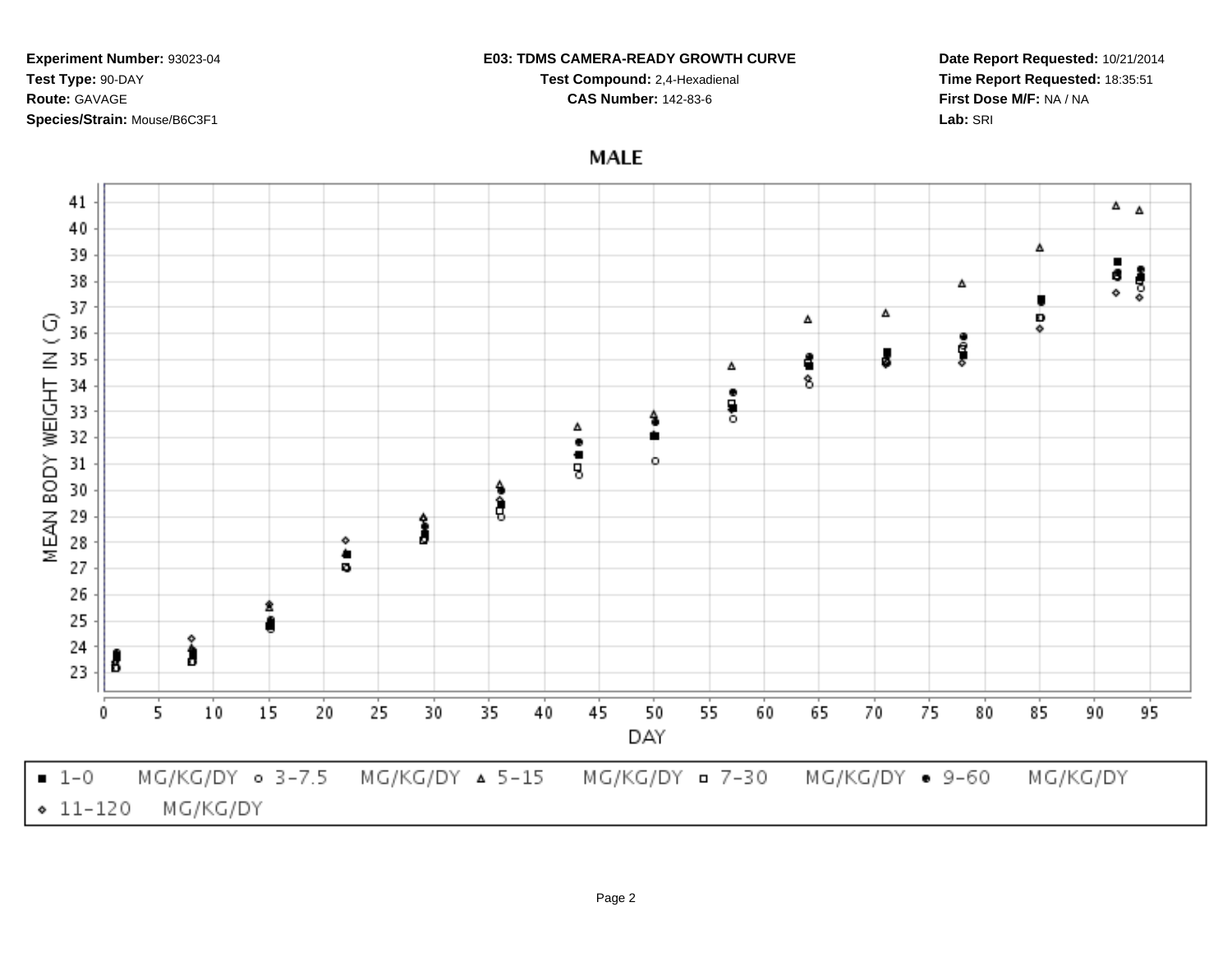41  $\Delta$   $\Delta$ 40 39 Δ ā  $\frac{1}{2}$ 38 Δ 37 Δ  $\odot$ Δ Ď 36 ۵ o Gio MEAN BODY WEIGHT IN J 35 ĉ Δ 8 34  $\bullet$ 흏 33 Δ 32  $\bullet$ ٠ 31 o ġ 30 4 ĝ 29 ٥ 28 ۰ ٠ 27 ø 26 25 ۰ 24 3 B 23  $15$  $50$ 5  $10$ 20 25 30 35 45 55 60 65 70 75 95 0 40 80 85 90 DAY  $-1-0$ MG/KG/DY 0 3-7.5 MG/KG/DY = 7-30  $MG/KG/DY$   $\triangle$  5-15 MG/KG/DY . 9-60 MG/KG/DY  $• 11 - 120$ MG/KG/DY

# **E03: TDMS CAMERA-READY GROWTH CURVE**

**Test Compound:** 2,4-Hexadienal **CAS Number:** 142-83-6

**MALE** 

## **Experiment Number:** 93023-04**Test Type:** 90-DAY**Route:** GAVAGE**Species/Strain:** Mouse/B6C3F1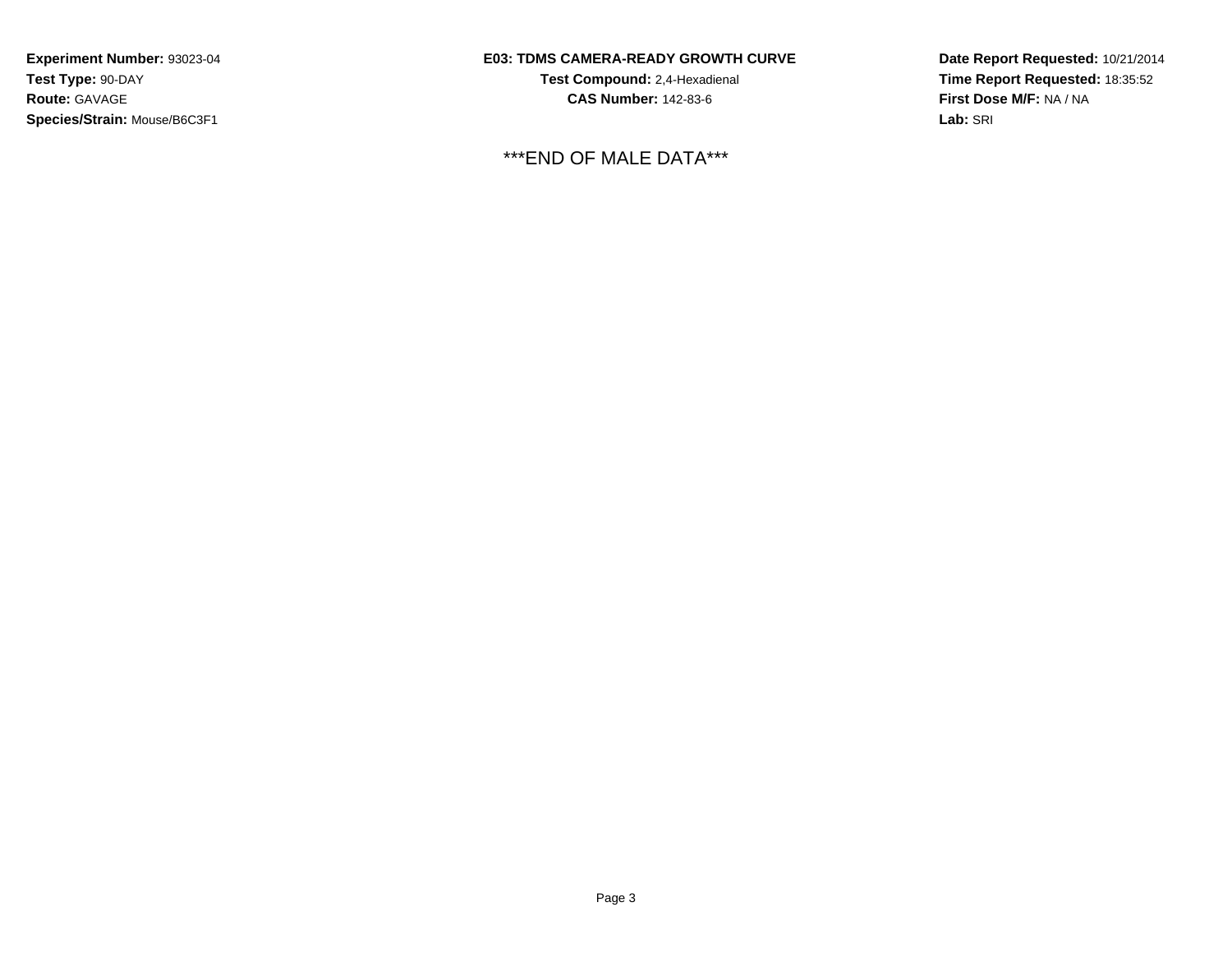**Experiment Number:** 93023-04**Test Type:** 90-DAY**Route:** GAVAGE**Species/Strain:** Mouse/B6C3F1

## **E03: TDMS CAMERA-READY GROWTH CURVE**

**Test Compound:** 2,4-Hexadienal **CAS Number:** 142-83-6

\*\*\*END OF MALE DATA\*\*\*

**Date Report Requested:** 10/21/2014 **Time Report Requested:** 18:35:52**First Dose M/F:** NA / NA**Lab:** SRI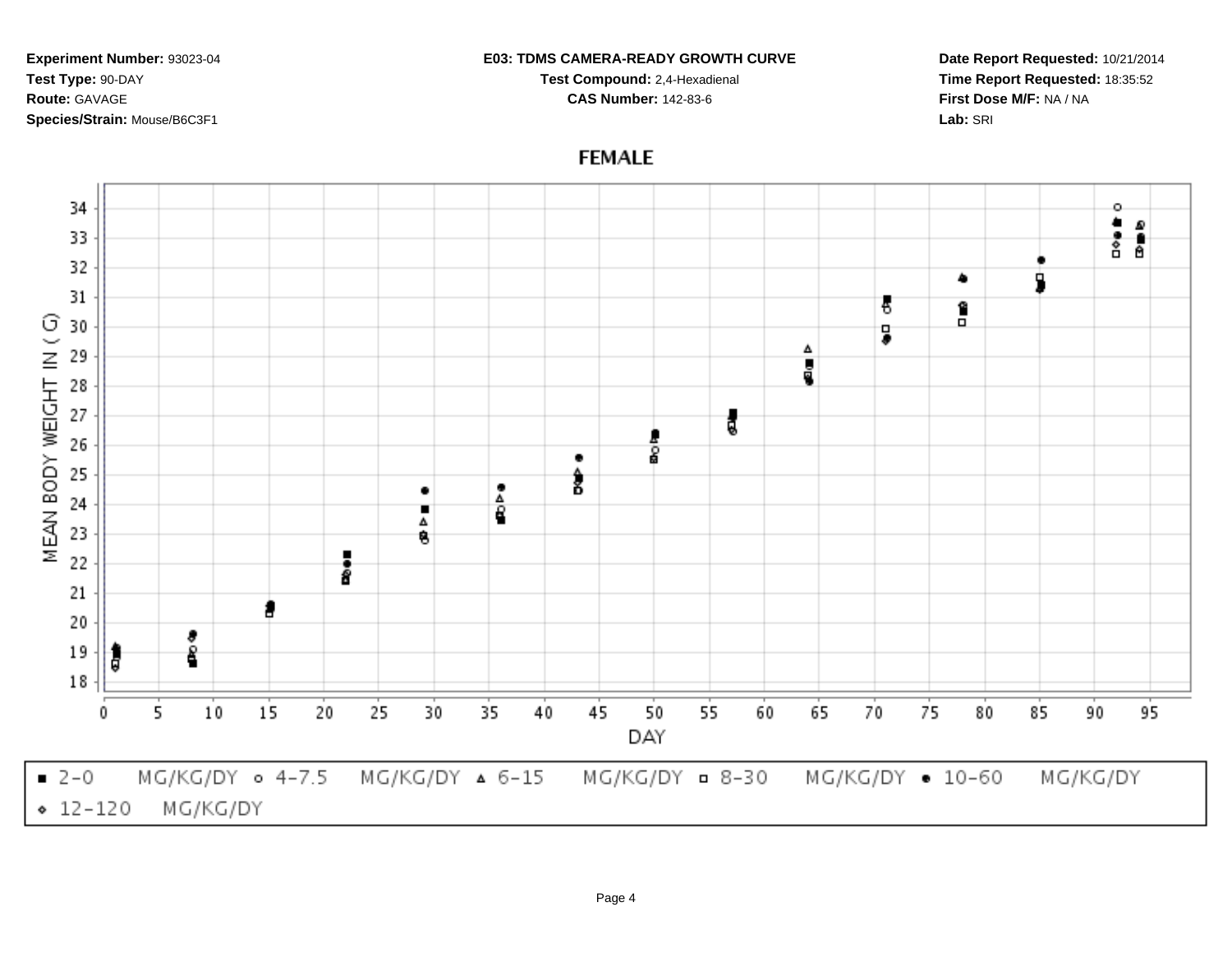34 o a<br>See 33 32 ٠ ۰ 31 В Î G 30 5 MEAN BODY WEIGHT IN ( å 29 28 27 ţ 26 8  $\bullet$ 25  $\frac{4}{8}$  $\frac{8}{6}$ ٠ 24 П Δ 23 8 i<br>8 22 21 f 20 8 ĵ 19 8 18  $15$ 35  $50$  $10$ 20 25 30 45 55 60 65 70 75 80 85 95 0 5 40 90 DAY  $-2-0$ MG/KG/DY 0 4-7.5 MG/KG/DY = 8-30 MG/KG/DY . 10-60 MG/KG/DY ▲ 6-15 MG/KG/DY  $• 12 - 120$ MG/KG/DY

**FEMALE** 

**Experiment Number:** 93023-04**Test Type:** 90-DAY**Route:** GAVAGE**Species/Strain:** Mouse/B6C3F1

**Date Report Requested:** 10/21/2014**Time Report Requested:** 18:35:52**First Dose M/F:** NA / NA**Lab:** SRI

### **E03: TDMS CAMERA-READY GROWTH CURVETest Compound:** 2,4-Hexadienal

**CAS Number:** 142-83-6